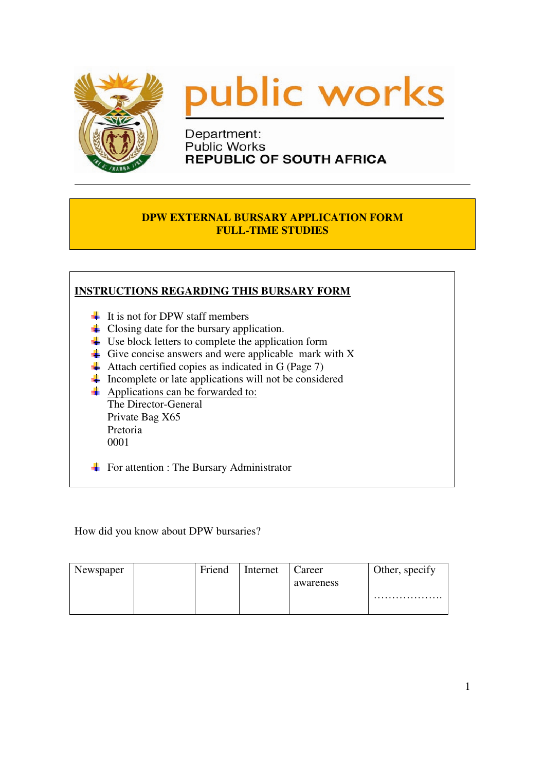



Department: **Public Works REPUBLIC OF SOUTH AFRICA** 

#### **DPW EXTERNAL BURSARY APPLICATION FORM FULL-TIME STUDIES**

| $\downarrow$ It is not for DPW staff members                                 |
|------------------------------------------------------------------------------|
| $\downarrow$ Closing date for the bursary application.                       |
| $\downarrow$ Use block letters to complete the application form              |
| $\overline{\mathbf{A}}$ Give concise answers and were applicable mark with X |
| Attach certified copies as indicated in G (Page 7)                           |
| Incomplete or late applications will not be considered                       |
| Applications can be forwarded to:                                            |
| The Director-General                                                         |
| Private Bag X65                                                              |
| Pretoria                                                                     |
| 0001                                                                         |

How did you know about DPW bursaries?

| Newspaper | Friend | Internet | Career    | Other, specify |
|-----------|--------|----------|-----------|----------------|
|           |        |          | awareness |                |
|           |        |          |           | .              |
|           |        |          |           |                |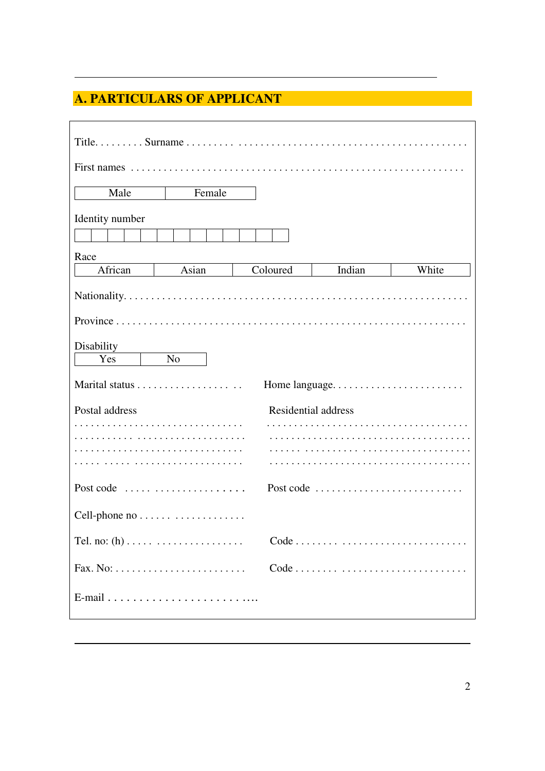# **A. PARTICULARS OF APPLICANT**

| Male<br>Female                                        |                     |           |       |
|-------------------------------------------------------|---------------------|-----------|-------|
| Identity number                                       |                     |           |       |
| Race<br>African<br>Asian                              | Coloured            | Indian    | White |
|                                                       |                     |           |       |
|                                                       |                     |           |       |
| Disability<br>Yes<br>N <sub>o</sub>                   |                     |           |       |
|                                                       |                     |           |       |
| Postal address                                        | Residential address |           |       |
|                                                       |                     |           |       |
|                                                       |                     |           |       |
| Post code $\ldots \ldots \ldots \ldots \ldots \ldots$ |                     | Post code |       |
|                                                       |                     |           |       |
|                                                       |                     |           |       |
|                                                       |                     |           |       |
|                                                       |                     |           |       |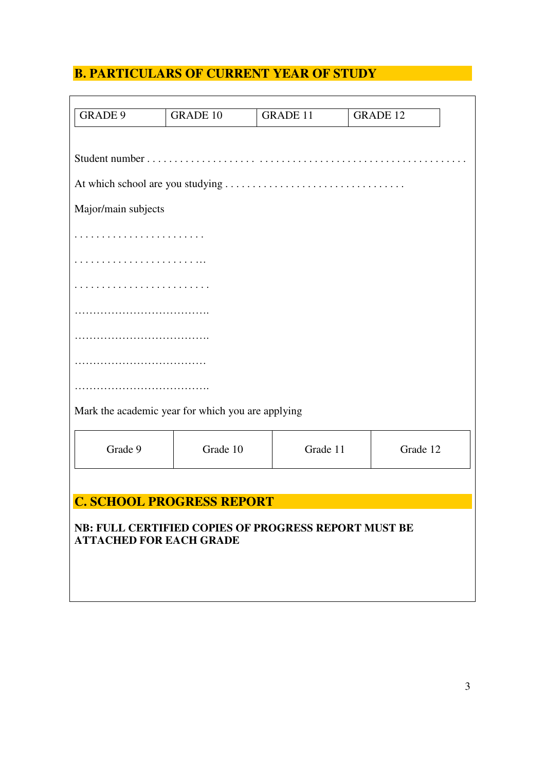# **B. PARTICULARS OF CURRENT YEAR OF STUDY**

| <b>GRADE 9</b>                 | <b>GRADE 10</b>                                      | <b>GRADE 11</b> | <b>GRADE 12</b> |          |
|--------------------------------|------------------------------------------------------|-----------------|-----------------|----------|
|                                |                                                      |                 |                 |          |
|                                |                                                      |                 |                 |          |
|                                |                                                      |                 |                 |          |
| Major/main subjects            |                                                      |                 |                 |          |
|                                |                                                      |                 |                 |          |
|                                |                                                      |                 |                 |          |
|                                |                                                      |                 |                 |          |
|                                |                                                      |                 |                 |          |
|                                |                                                      |                 |                 |          |
|                                |                                                      |                 |                 |          |
|                                |                                                      |                 |                 |          |
|                                |                                                      |                 |                 |          |
|                                | Mark the academic year for which you are applying    |                 |                 |          |
|                                |                                                      |                 |                 |          |
| Grade 9                        | Grade 10                                             | Grade 11        |                 | Grade 12 |
|                                |                                                      |                 |                 |          |
|                                | <b>C. SCHOOL PROGRESS REPORT</b>                     |                 |                 |          |
|                                |                                                      |                 |                 |          |
| <b>ATTACHED FOR EACH GRADE</b> | NB: FULL CERTIFIED COPIES OF PROGRESS REPORT MUST BE |                 |                 |          |
|                                |                                                      |                 |                 |          |
|                                |                                                      |                 |                 |          |
|                                |                                                      |                 |                 |          |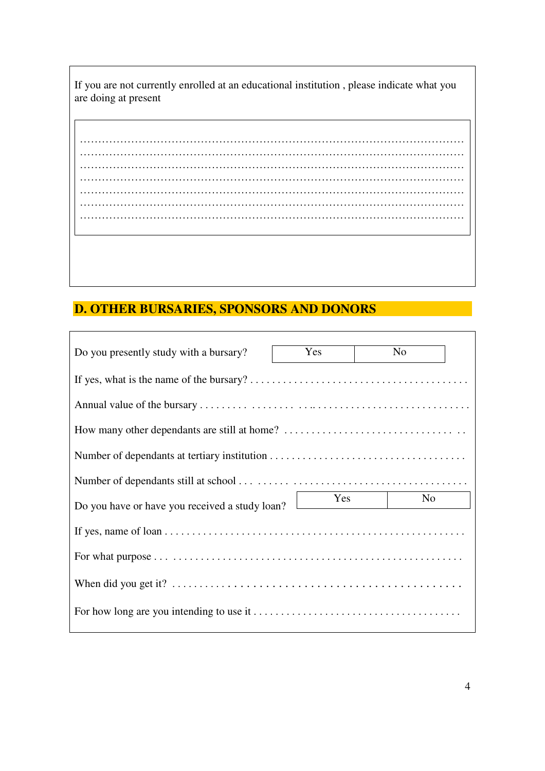If you are not currently enrolled at an educational institution , please indicate what you are doing at present

…………………………………………………………………………………………… …………………………………………………………………………………………… …………………………………………………………………………………………… …………………………………………………………………………………………… …………………………………………………………………………………………… …………………………………………………………………………………………… ……………………………………………………………………………………………

# **D. OTHER BURSARIES, SPONSORS AND DONORS**

| Do you presently study with a bursary?         | Yes | N <sub>o</sub> |
|------------------------------------------------|-----|----------------|
|                                                |     |                |
|                                                |     |                |
|                                                |     |                |
|                                                |     |                |
|                                                |     |                |
|                                                |     |                |
| Do you have or have you received a study loan? | Yes | No             |
|                                                |     |                |
|                                                |     |                |
|                                                |     |                |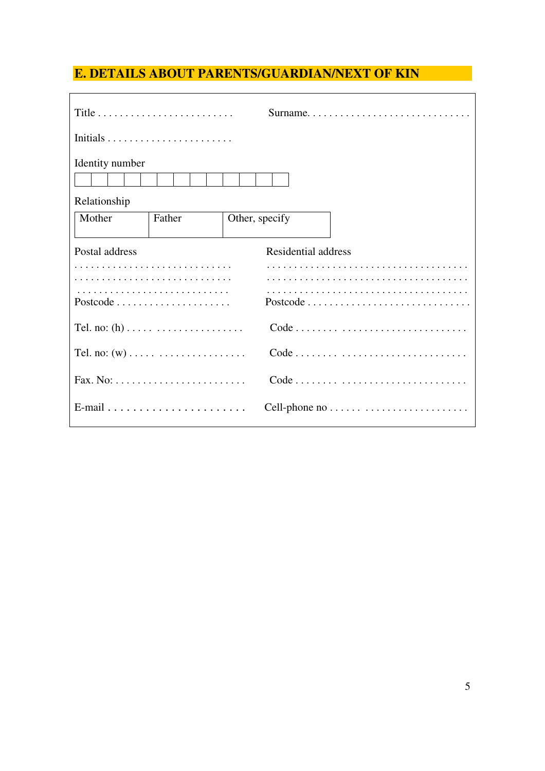# **E. DETAILS ABOUT PARENTS/GUARDIAN/NEXT OF KIN**

|                                                                  |                | Surname                                                        |
|------------------------------------------------------------------|----------------|----------------------------------------------------------------|
|                                                                  |                |                                                                |
| Identity number                                                  |                |                                                                |
| Relationship                                                     |                |                                                                |
| Mother<br>Father                                                 | Other, specify |                                                                |
| Postal address                                                   |                | Residential address                                            |
|                                                                  |                |                                                                |
|                                                                  |                |                                                                |
|                                                                  |                | $Code \ldots \ldots \ldots \ldots \ldots \ldots \ldots \ldots$ |
|                                                                  |                |                                                                |
| Fax. No: $\dots \dots \dots \dots \dots \dots \dots \dots \dots$ |                | Code                                                           |
|                                                                  |                |                                                                |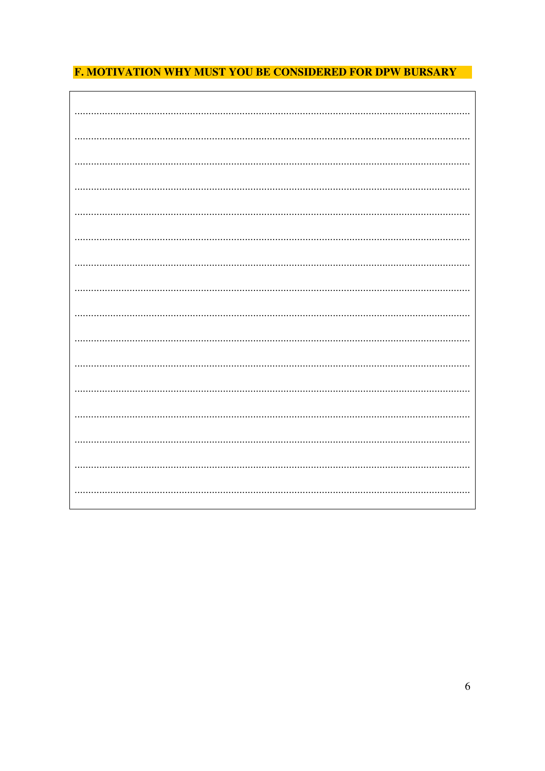## **F. MOTIVATION WHY MUST YOU BE CONSIDERED FOR DPW BURSARY**